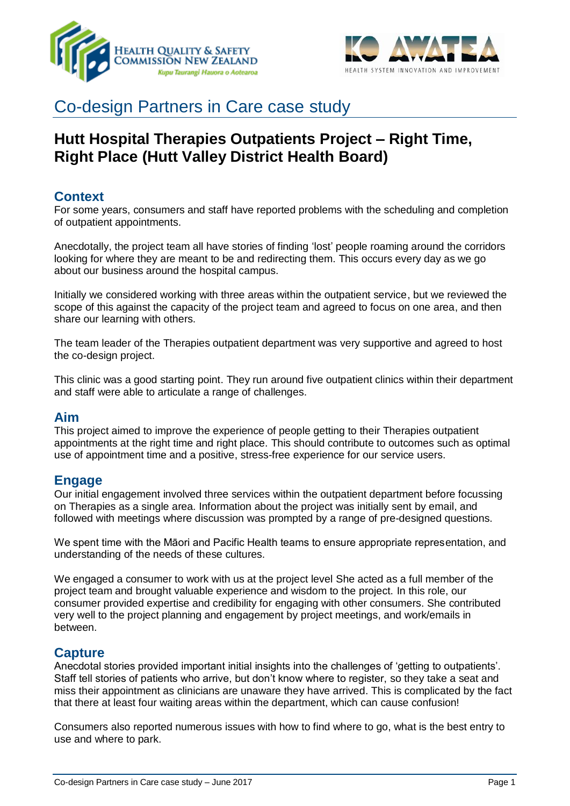



# Co-design Partners in Care case study

# **Hutt Hospital Therapies Outpatients Project – Right Time, Right Place (Hutt Valley District Health Board)**

# **Context**

For some years, consumers and staff have reported problems with the scheduling and completion of outpatient appointments.

Anecdotally, the project team all have stories of finding 'lost' people roaming around the corridors looking for where they are meant to be and redirecting them. This occurs every day as we go about our business around the hospital campus.

Initially we considered working with three areas within the outpatient service, but we reviewed the scope of this against the capacity of the project team and agreed to focus on one area, and then share our learning with others.

The team leader of the Therapies outpatient department was very supportive and agreed to host the co-design project.

This clinic was a good starting point. They run around five outpatient clinics within their department and staff were able to articulate a range of challenges.

### **Aim**

This project aimed to improve the experience of people getting to their Therapies outpatient appointments at the right time and right place. This should contribute to outcomes such as optimal use of appointment time and a positive, stress-free experience for our service users.

### **Engage**

Our initial engagement involved three services within the outpatient department before focussing on Therapies as a single area. Information about the project was initially sent by email, and followed with meetings where discussion was prompted by a range of pre-designed questions.

We spent time with the Māori and Pacific Health teams to ensure appropriate representation, and understanding of the needs of these cultures.

We engaged a consumer to work with us at the project level She acted as a full member of the project team and brought valuable experience and wisdom to the project. In this role, our consumer provided expertise and credibility for engaging with other consumers. She contributed very well to the project planning and engagement by project meetings, and work/emails in between.

### **Capture**

Anecdotal stories provided important initial insights into the challenges of 'getting to outpatients'. Staff tell stories of patients who arrive, but don't know where to register, so they take a seat and miss their appointment as clinicians are unaware they have arrived. This is complicated by the fact that there at least four waiting areas within the department, which can cause confusion!

Consumers also reported numerous issues with how to find where to go, what is the best entry to use and where to park.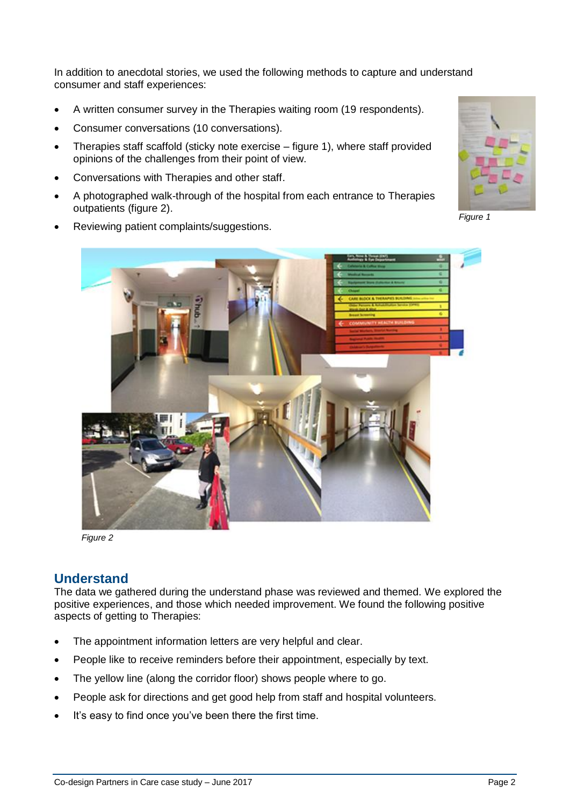In addition to anecdotal stories, we used the following methods to capture and understand consumer and staff experiences:

- A written consumer survey in the Therapies waiting room (19 respondents).
- Consumer conversations (10 conversations).
- Therapies staff scaffold (sticky note exercise figure 1), where staff provided opinions of the challenges from their point of view.
- Conversations with Therapies and other staff.
- A photographed walk-through of the hospital from each entrance to Therapies outpatients (figure 2).





*Figure 1*



*Figure 2*

# **Understand**

The data we gathered during the understand phase was reviewed and themed. We explored the positive experiences, and those which needed improvement. We found the following positive aspects of getting to Therapies:

- The appointment information letters are very helpful and clear.
- People like to receive reminders before their appointment, especially by text.
- The yellow line (along the corridor floor) shows people where to go.
- People ask for directions and get good help from staff and hospital volunteers.
- It's easy to find once you've been there the first time.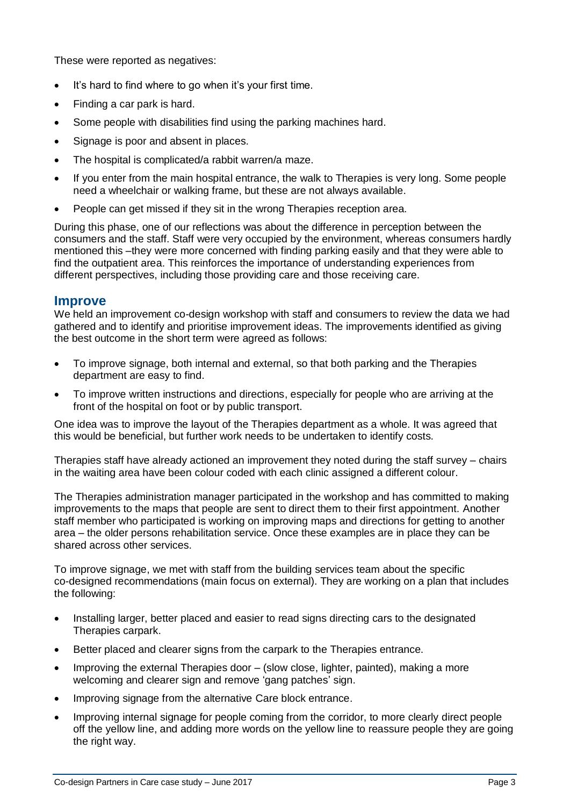These were reported as negatives:

- It's hard to find where to go when it's your first time.
- Finding a car park is hard.
- Some people with disabilities find using the parking machines hard.
- Signage is poor and absent in places.
- The hospital is complicated/a rabbit warren/a maze.
- If you enter from the main hospital entrance, the walk to Therapies is very long. Some people need a wheelchair or walking frame, but these are not always available.
- People can get missed if they sit in the wrong Therapies reception area.

During this phase, one of our reflections was about the difference in perception between the consumers and the staff. Staff were very occupied by the environment, whereas consumers hardly mentioned this –they were more concerned with finding parking easily and that they were able to find the outpatient area. This reinforces the importance of understanding experiences from different perspectives, including those providing care and those receiving care.

#### **Improve**

We held an improvement co-design workshop with staff and consumers to review the data we had gathered and to identify and prioritise improvement ideas. The improvements identified as giving the best outcome in the short term were agreed as follows:

- To improve signage, both internal and external, so that both parking and the Therapies department are easy to find.
- To improve written instructions and directions, especially for people who are arriving at the front of the hospital on foot or by public transport.

One idea was to improve the layout of the Therapies department as a whole. It was agreed that this would be beneficial, but further work needs to be undertaken to identify costs.

Therapies staff have already actioned an improvement they noted during the staff survey – chairs in the waiting area have been colour coded with each clinic assigned a different colour.

The Therapies administration manager participated in the workshop and has committed to making improvements to the maps that people are sent to direct them to their first appointment. Another staff member who participated is working on improving maps and directions for getting to another area – the older persons rehabilitation service. Once these examples are in place they can be shared across other services.

To improve signage, we met with staff from the building services team about the specific co-designed recommendations (main focus on external). They are working on a plan that includes the following:

- Installing larger, better placed and easier to read signs directing cars to the designated Therapies carpark.
- Better placed and clearer signs from the carpark to the Therapies entrance.
- Improving the external Therapies door (slow close, lighter, painted), making a more welcoming and clearer sign and remove 'gang patches' sign.
- Improving signage from the alternative Care block entrance.
- Improving internal signage for people coming from the corridor, to more clearly direct people off the yellow line, and adding more words on the yellow line to reassure people they are going the right way.